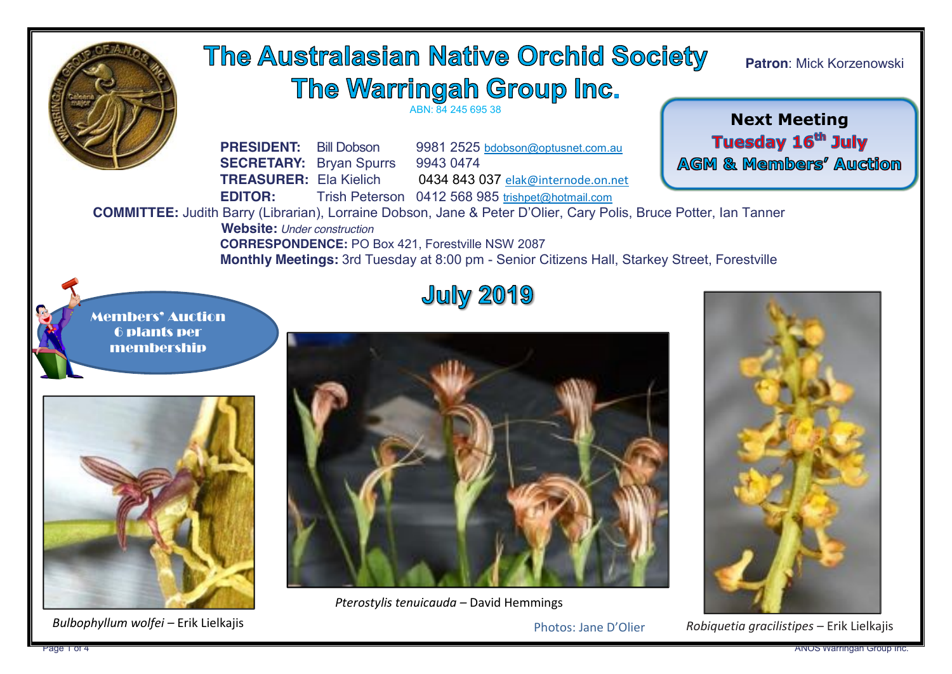

 *Bulbophyllum wolfei –* Erik Lielkajis

Photos: Jane D'Olier

 *Robiquetia gracilistipes* – Erik Lielkajis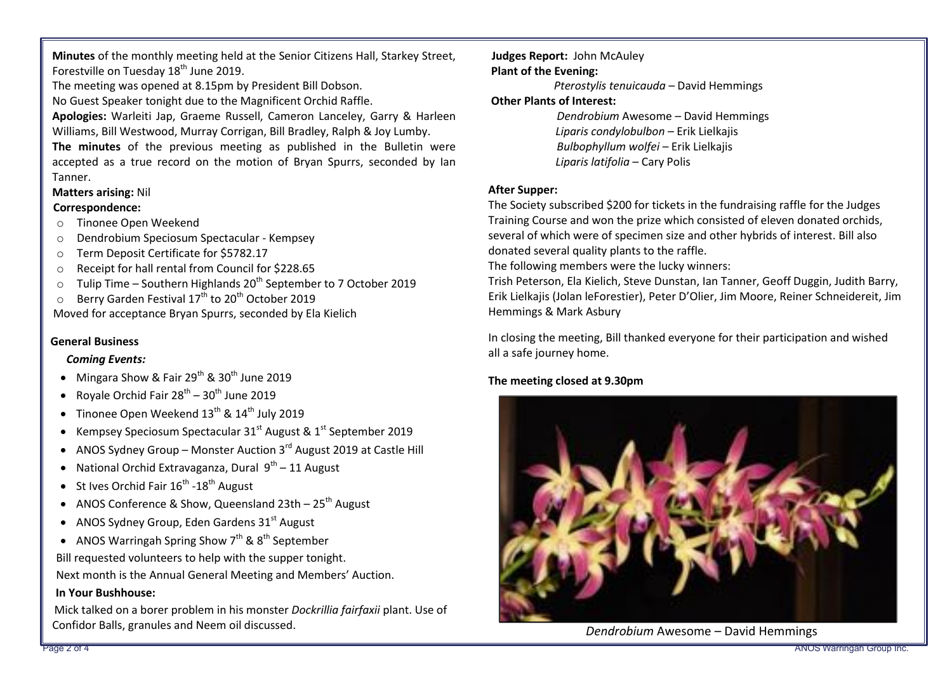**Minutes** of the monthly meeting held at the Senior Citizens Hall, Starkey Street, Forestville on Tuesday  $18<sup>th</sup>$  June 2019.

The meeting was opened at 8.15pm by President Bill Dobson.

No Guest Speaker tonight due to the Magnificent Orchid Raffle.

**Apologies:** Warleiti Jap, Graeme Russell, Cameron Lanceley, Garry & Harleen Williams, Bill Westwood, Murray Corrigan, Bill Bradley, Ralph & Joy Lumby.

**The minutes** of the previous meeting as published in the Bulletin were accepted as a true record on the motion of Bryan Spurrs, seconded by Ian Tanner.

### **Matters arising:** Nil

#### **Correspondence:**

- o Tinonee Open Weekend
- o Dendrobium Speciosum Spectacular Kempsey
- o Term Deposit Certificate for \$5782.17
- o Receipt for hall rental from Council for \$228.65
- $\circ$  Tulip Time Southern Highlands 20<sup>th</sup> September to 7 October 2019
- $\circ$  Berry Garden Festival 17<sup>th</sup> to 20<sup>th</sup> October 2019

Moved for acceptance Bryan Spurrs, seconded by Ela Kielich

### **General Business**

### *Coming Events:*

- Mingara Show & Fair  $29^{th}$  &  $30^{th}$  June 2019
- Royale Orchid Fair  $28^{th}$   $30^{th}$  June 2019
- Tinonee Open Weekend  $13^{th}$  &  $14^{th}$  July 2019
- Kempsey Speciosum Spectacular  $31<sup>st</sup>$  August &  $1<sup>st</sup>$  September 2019
- ANOS Sydney Group Monster Auction  $3^{rd}$  August 2019 at Castle Hill
- National Orchid Extravaganza, Dural  $9<sup>th</sup> 11$  August
- St Ives Orchid Fair  $16^{th}$  -18<sup>th</sup> August
- ANOS Conference & Show, Queensland 23th  $25<sup>th</sup>$  August
- ANOS Sydney Group, Eden Gardens  $31<sup>st</sup>$  August
- ANOS Warringah Spring Show  $7<sup>th</sup>$  & 8<sup>th</sup> September

Bill requested volunteers to help with the supper tonight.

Next month is the Annual General Meeting and Members' Auction.

#### **In Your Bushhouse:**

Mick talked on a borer problem in his monster *Dockrillia fairfaxii* plant. Use of Confidor Balls, granules and Neem oil discussed.

#### **Judges Report:** John McAuley **Plant of the Evening:**

*Pterostylis tenuicauda –* David Hemmings

### **Other Plants of Interest:**

*Dendrobium* Awesome *–* David Hemmings *Liparis condylobulbon –* Erik Lielkajis *Bulbophyllum wolfei –* Erik Lielkajis  *Liparis latifolia –* Cary Polis

### **After Supper:**

The Society subscribed \$200 for tickets in the fundraising raffle for the Judges Training Course and won the prize which consisted of eleven donated orchids, several of which were of specimen size and other hybrids of interest. Bill also donated several quality plants to the raffle.

The following members were the lucky winners:

Trish Peterson, Ela Kielich, Steve Dunstan, Ian Tanner, Geoff Duggin, Judith Barry, Erik Lielkajis (Jolan leForestier), Peter D'Olier, Jim Moore, Reiner Schneidereit, Jim Hemmings & Mark Asbury

In closing the meeting, Bill thanked everyone for their participation and wished all a safe journey home.

### **The meeting closed at 9.30pm**



 *Dendrobium* Awesome – David Hemmings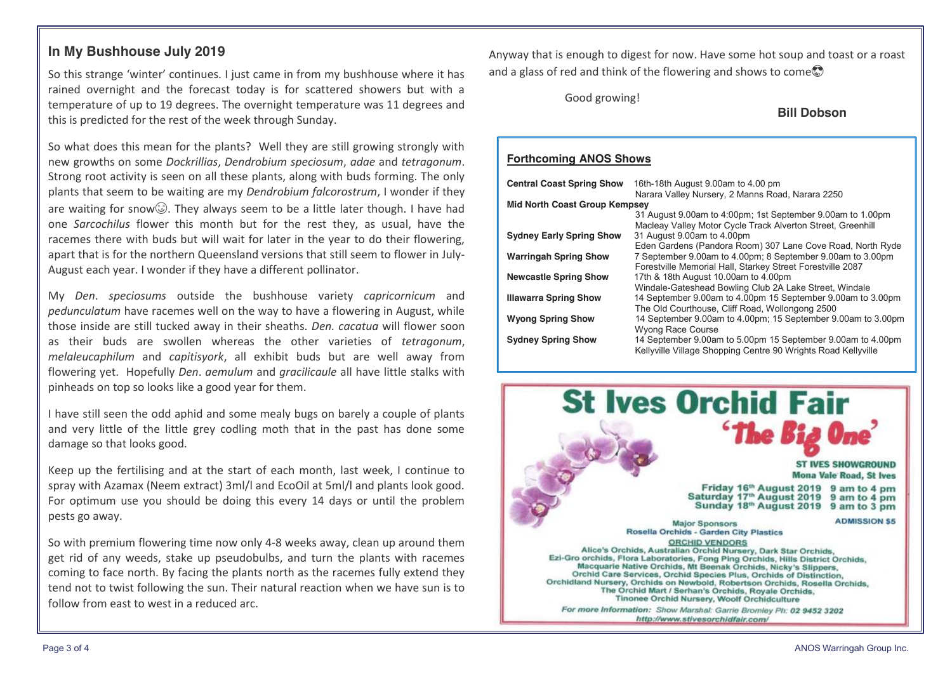### **In My Bushhouse July 2019**

So this strange 'winter' continues. I just came in from my bushhouse where it has rained overnight and the forecast today is for scattered showers but with a temperature of up to 19 degrees. The overnight temperature was 11 degrees and this is predicted for the rest of the week through Sunday.

So what does this mean for the plants? Well they are still growing strongly with new growths on some *Dockrillias*, *Dendrobium speciosum*, *adae* and *tetragonum*. Strong root activity is seen on all these plants, along with buds forming. The only plants that seem to be waiting are my *Dendrobium falcorostrum*, I wonder if they are waiting for snow $\circled{)}$ . They always seem to be a little later though. I have had one *Sarcochilus* flower this month but for the rest they, as usual, have the racemes there with buds but will wait for later in the year to do their flowering, apart that is for the northern Queensland versions that still seem to flower in July-August each year. I wonder if they have a different pollinator.

My *Den*. *speciosums* outside the bushhouse variety *capricornicum* and *pedunculatum* have racemes well on the way to have a flowering in August, while those inside are still tucked away in their sheaths. *Den. cacatua* will flower soon as their buds are swollen whereas the other varieties of *tetragonum*, *melaleucaphilum* and *capitisyork*, all exhibit buds but are well away from flowering yet. Hopefully *Den*. *aemulum* and *gracilicaule* all have little stalks with pinheads on top so looks like a good year for them.

I have still seen the odd aphid and some mealy bugs on barely a couple of plants and very little of the little grey codling moth that in the past has done some damage so that looks good.

Keep up the fertilising and at the start of each month, last week, I continue to spray with Azamax (Neem extract) 3ml/l and EcoOil at 5ml/l and plants look good. For optimum use you should be doing this every 14 days or until the problem pests go away.

So with premium flowering time now only 4-8 weeks away, clean up around them get rid of any weeds, stake up pseudobulbs, and turn the plants with racemes coming to face north. By facing the plants north as the racemes fully extend they tend not to twist following the sun. Their natural reaction when we have sun is to follow from east to west in a reduced arc.

Anyway that is enough to digest for now. Have some hot soup and toast or a roast and a glass of red and think of the flowering and shows to come  $\mathcal{D}$ 

Good growing!

**Bill Dobson**

#### **Forthcoming ANOS Shows**

| <b>Central Coast Spring Show</b>     | 16th-18th August 9.00am to 4.00 pm                            |  |  |  |
|--------------------------------------|---------------------------------------------------------------|--|--|--|
|                                      | Narara Valley Nursery, 2 Manns Road, Narara 2250              |  |  |  |
| <b>Mid North Coast Group Kempsey</b> |                                                               |  |  |  |
|                                      | 31 August 9.00am to 4:00pm; 1st September 9.00am to 1.00pm    |  |  |  |
|                                      | Macleay Valley Motor Cycle Track Alverton Street, Greenhill   |  |  |  |
| <b>Sydney Early Spring Show</b>      | 31 August 9.00am to 4.00pm                                    |  |  |  |
|                                      | Eden Gardens (Pandora Room) 307 Lane Cove Road, North Ryde    |  |  |  |
| <b>Warringah Spring Show</b>         | 7 September 9.00am to 4.00pm; 8 September 9.00am to 3.00pm    |  |  |  |
|                                      | Forestville Memorial Hall, Starkey Street Forestville 2087    |  |  |  |
| <b>Newcastle Spring Show</b>         | 17th & 18th August 10.00am to 4.00pm                          |  |  |  |
|                                      | Windale-Gateshead Bowling Club 2A Lake Street, Windale        |  |  |  |
| <b>Illawarra Spring Show</b>         | 14 September 9.00am to 4.00pm 15 September 9.00am to 3.00pm   |  |  |  |
|                                      | The Old Courthouse, Cliff Road, Wollongong 2500               |  |  |  |
| <b>Wyong Spring Show</b>             | 14 September 9.00am to 4.00pm; 15 September 9.00am to 3.00pm  |  |  |  |
|                                      | Wyong Race Course                                             |  |  |  |
| <b>Sydney Spring Show</b>            | 14 September 9.00am to 5.00pm 15 September 9.00am to 4.00pm   |  |  |  |
|                                      | Kellyville Village Shopping Centre 90 Wrights Road Kellyville |  |  |  |

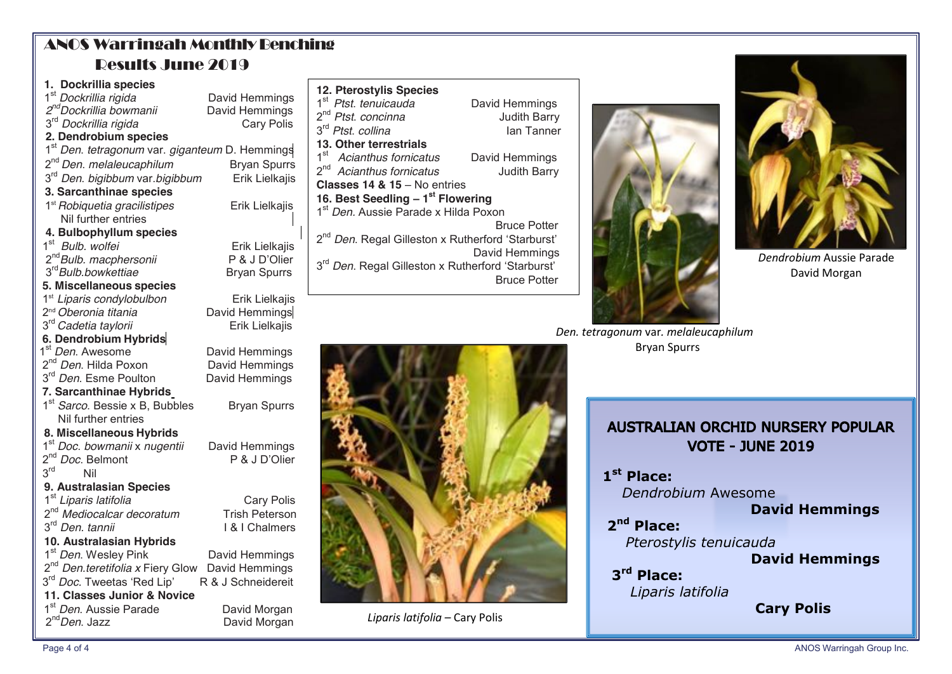# ANOS Warringah Monthly Benching Results June 2019

### **1. Dockrillia species** 1<sup>st</sup> *Dockrillia rigida* **by** David Hemmings<br>2<sup>nd</sup> *Dockrillia bowmanii* David Hemmings 2<sup>nd</sup> Dockrillia bowmanii **David Hemmings**<br>3<sup>rd</sup> Dockrillia rigida **Cary Polis** 3<sup>rd</sup> Dockrillia rigida  **2. Dendrobium species**  1<sup>st</sup> *Den. tetragonum* var. *giganteum* D. Hemmings<br>2<sup>nd</sup> *Den. melaleucaphilum* Bryan Spurrs<br>3<sup>rd</sup> *Den. bigibbum* var.*bigibbum* Erik Lielkajis  $3<sup>rd</sup>$  *Den. bigibbum* var.*bigibbum* **3. Sarcanthinae species** 1st *Robiquetia gracilistipes* Erik LielkajisNil further entries  **4. Bulbophyllum species** 1st *Bulb. wolfei* Erik Lielkajis

 2nd*Bulb. macphersonii* P & J D'Olier 3rd*Bulb.bowkettiae* Bryan Spurrs

1<sup>st</sup> *Liparis condylobulbon*<br>2<sup>nd</sup> *Oberonia titania* David Hemmings **David Hemmings** 3<sup>rd</sup> *Cadetia taylorii* **Erik Lielkajis** 

# **6. Dendrobium Hybrids**

**5. Miscellaneous species**

1<sup>st</sup> *Den*. Awesome **David Hemmings**<br>2<sup>nd</sup> *Den*. Hilda Poxon **David Hemmings** 

- 2<sup>nd</sup> *Den*. Hilda Poxon **David Hemmings**<br>3<sup>rd</sup> *Den*. Esme Poulton David Hemmings
- 3<sup>rd</sup> *Den*. Esme Poulton

### **7. Sarcanthinae Hybrids**

1<sup>st</sup> *Sarco*. Bessie x B, Bubbles Bryan Spurrs Nil further entries

### **8. Miscellaneous Hybrids**

 1st *Doc*. *bowmanii* x *nugentii* David Hemmings 2<sup>nd</sup> *Doc*. Belmont

 $3<sup>rd</sup>$ 

- **9. Australasian Species** 1st *Liparis latifolia* Cary Polis
- 2<sup>nd</sup> *Mediocalcar decoratum* Trish Peterson
- 3rd *Den. tannii* I & I Chalmers
- 

## **10. Australasian Hybrids**

1<sup>st</sup> *Den*. Wesley Pink David Hemmings 2<sup>nd</sup> *Den.teretifolia x* Fiery Glow David Hemmings 3<sup>rd</sup> *Doc.* Tweetas 'Red Lip' R & J Schneidereit

**11. Classes Junior & Novice** 1<sup>st</sup> *Den*. Aussie Parade **David Morgan** 

2<sup>nd</sup> Den. Jazz **David Morgan** 

|                               | <b>12. Pterostylis Species</b>                        |          |
|-------------------------------|-------------------------------------------------------|----------|
| s                             | 1 <sup>st</sup><br>Ptst. tenuicauda                   | David He |
| 5<br>$\overline{\phantom{a}}$ | 2 <sup>nd</sup> Ptst. concinna                        | Jud      |
|                               | 3rd Ptst. collina                                     | lar      |
|                               | 13. Other terrestrials                                |          |
| ╡                             | 1 <sup>st</sup><br>Acianthus fornicatus               | David He |
| s                             | 2 <sup>nd</sup> Acianthus fornicatus                  | Judi     |
| S                             | <b>Classes 14 &amp; 15 - No entries</b>               |          |
| $\overline{1}$                | 16. Best Seedling - 1st Flowering                     |          |
|                               | 1 <sup>st</sup> Den. Aussie Parade x Hilda Poxon      |          |
|                               |                                                       | Bruc     |
| S                             | 2 <sup>nd</sup> Den. Regal Gilleston x Rutherford 'St |          |
| r                             |                                                       | David He |
|                               | 3 <sup>rd</sup> Den. Regal Gilleston x Rutherford 'St |          |
|                               |                                                       | Bruc     |
| s                             |                                                       |          |
|                               |                                                       |          |





*Dendrobium* Aussie Parade David Morgan

*Den. tetragonum* var*. melaleucaphilum* Bryan Spurrs



*Liparis latifolia –* Cary Polis

| <b>AUSTRALIAN ORCHID NURSERY POPULAR</b><br><b>VOTE - JUNE 2019</b> |                       |  |
|---------------------------------------------------------------------|-----------------------|--|
| 1 <sup>st</sup> Place:                                              |                       |  |
| Dendrobium Awesome                                                  |                       |  |
|                                                                     | <b>David Hemmings</b> |  |
| $2nd$ Place:                                                        |                       |  |
| Pterostylis tenuicauda                                              |                       |  |
|                                                                     | <b>David Hemmings</b> |  |
| 3rd Place:<br>.                                                     |                       |  |

*Liparis latifolia* **Cary Polis**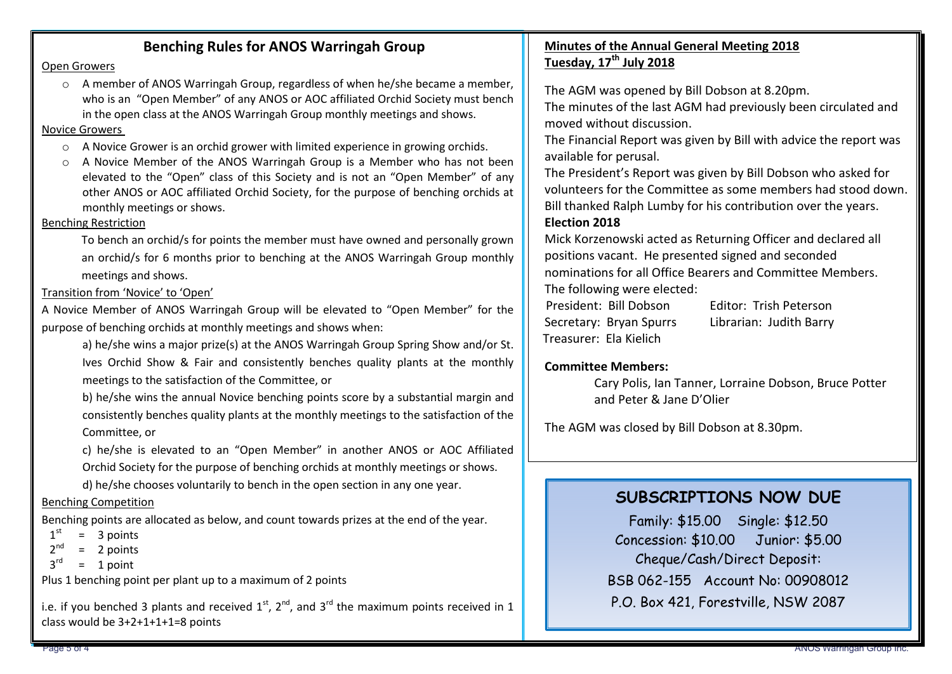## **Benching Rules for ANOS Warringah Group**

#### Open Growers

o A member of ANOS Warringah Group, regardless of when he/she became a member, who is an "Open Member" of any ANOS or AOC affiliated Orchid Society must bench in the open class at the ANOS Warringah Group monthly meetings and shows.

#### Novice Growers

- $\circ$  A Novice Grower is an orchid grower with limited experience in growing orchids.
- $\circ$  A Novice Member of the ANOS Warringah Group is a Member who has not been elevated to the "Open" class of this Society and is not an "Open Member" of any other ANOS or AOC affiliated Orchid Society, for the purpose of benching orchids at monthly meetings or shows.

### Benching Restriction

To bench an orchid/s for points the member must have owned and personally grown an orchid/s for 6 months prior to benching at the ANOS Warringah Group monthly meetings and shows.

Transition from 'Novice' to 'Open'

A Novice Member of ANOS Warringah Group will be elevated to "Open Member" for the purpose of benching orchids at monthly meetings and shows when:

a) he/she wins a major prize(s) at the ANOS Warringah Group Spring Show and/or St. Ives Orchid Show & Fair and consistently benches quality plants at the monthly meetings to the satisfaction of the Committee, or

b) he/she wins the annual Novice benching points score by a substantial margin and consistently benches quality plants at the monthly meetings to the satisfaction of the Committee, or

c) he/she is elevated to an "Open Member" in another ANOS or AOC Affiliated Orchid Society for the purpose of benching orchids at monthly meetings or shows.

d) he/she chooses voluntarily to bench in the open section in any one year.

### Benching Competition

Benching points are allocated as below, and count towards prizes at the end of the year.

 $1<sup>st</sup> = 3 points$ 

- $2<sup>nd</sup>$ = 2 points
- $3<sup>rd</sup>$ = 1 point

Plus 1 benching point per plant up to a maximum of 2 points

i.e. if you benched 3 plants and received  $1^{st}$ ,  $2^{nd}$ , and  $3^{rd}$  the maximum points received in 1 class would be 3+2+1+1+1=8 points

## **Minutes of the Annual General Meeting 2018 Tuesday, 17th July 2018**

The AGM was opened by Bill Dobson at 8.20pm.

The minutes of the last AGM had previously been circulated and moved without discussion.

The Financial Report was given by Bill with advice the report was available for perusal.

The President's Report was given by Bill Dobson who asked for volunteers for the Committee as some members had stood down. Bill thanked Ralph Lumby for his contribution over the years.

### **Election 2018**

Mick Korzenowski acted as Returning Officer and declared all positions vacant. He presented signed and seconded nominations for all Office Bearers and Committee Members. The following were elected:

 President: Bill Dobson Editor: Trish Peterson Secretary: Bryan Spurrs Librarian: Judith Barry Treasurer: Ela Kielich

### **Committee Members:**

Cary Polis, Ian Tanner, Lorraine Dobson, Bruce Potter and Peter & Jane D'Olier

The AGM was closed by Bill Dobson at 8.30pm.

# **SUBSCRIPTIONS NOW DUE**

Family: \$15.00 Single: \$12.50 Concession: \$10.00 Junior: \$5.00 Cheque/Cash/Direct Deposit: BSB 062-155 Account No: 00908012 P.O. Box 421, Forestville, NSW 2087